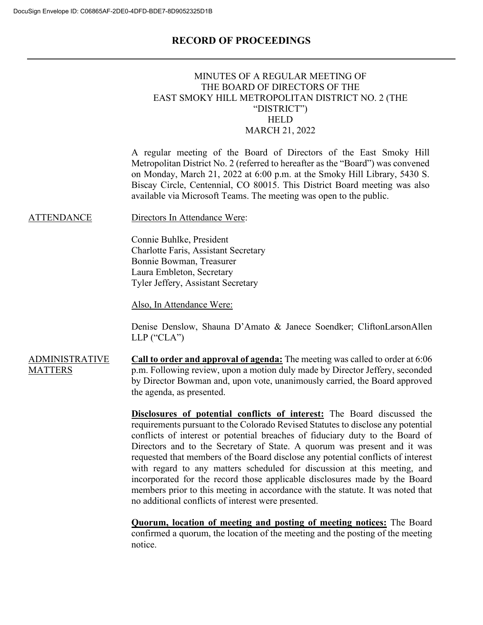### **RECORD OF PROCEEDINGS**

### MINUTES OF A REGULAR MEETING OF THE BOARD OF DIRECTORS OF THE EAST SMOKY HILL METROPOLITAN DISTRICT NO. 2 (THE "DISTRICT") **HELD** MARCH 21, 2022

A regular meeting of the Board of Directors of the East Smoky Hill Metropolitan District No. 2 (referred to hereafter as the "Board") was convened on Monday, March 21, 2022 at 6:00 p.m. at the Smoky Hill Library, 5430 S. Biscay Circle, Centennial, CO 80015. This District Board meeting was also available via Microsoft Teams. The meeting was open to the public.

ATTENDANCE Directors In Attendance Were:

Connie Buhlke, President Charlotte Faris, Assistant Secretary Bonnie Bowman, Treasurer Laura Embleton, Secretary Tyler Jeffery, Assistant Secretary

Also, In Attendance Were:

Denise Denslow, Shauna D'Amato & Janece Soendker; CliftonLarsonAllen LLP ("CLA")

ADMINISTRATIVE **MATTERS Call to order and approval of agenda:** The meeting was called to order at 6:06 p.m. Following review, upon a motion duly made by Director Jeffery, seconded by Director Bowman and, upon vote, unanimously carried, the Board approved the agenda, as presented.

> **Disclosures of potential conflicts of interest:** The Board discussed the requirements pursuant to the Colorado Revised Statutes to disclose any potential conflicts of interest or potential breaches of fiduciary duty to the Board of Directors and to the Secretary of State. A quorum was present and it was requested that members of the Board disclose any potential conflicts of interest with regard to any matters scheduled for discussion at this meeting, and incorporated for the record those applicable disclosures made by the Board members prior to this meeting in accordance with the statute. It was noted that no additional conflicts of interest were presented.

> **Quorum, location of meeting and posting of meeting notices:** The Board confirmed a quorum, the location of the meeting and the posting of the meeting notice.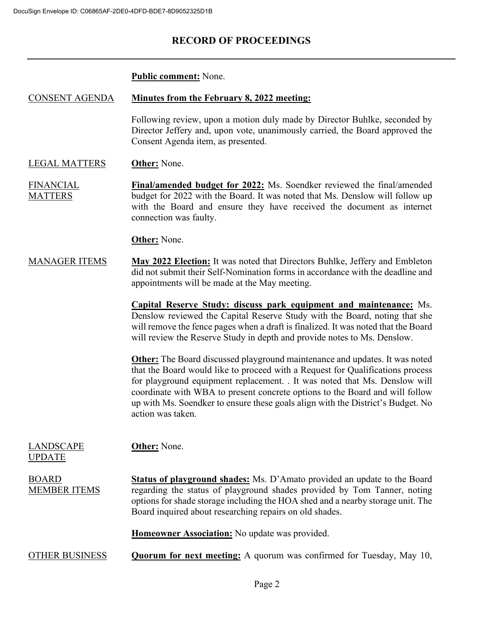# **RECORD OF PROCEEDINGS**

#### **Public comment:** None.

#### CONSENT AGENDA **Minutes from the February 8, 2022 meeting:**

Following review, upon a motion duly made by Director Buhlke, seconded by Director Jeffery and, upon vote, unanimously carried, the Board approved the Consent Agenda item, as presented.

#### LEGAL MATTERS **Other:** None.

FINANCIAL MATTERS **Final/amended budget for 2022:** Ms. Soendker reviewed the final/amended budget for 2022 with the Board. It was noted that Ms. Denslow will follow up with the Board and ensure they have received the document as internet connection was faulty.

**Other:** None.

MANAGER ITEMS **May 2022 Election:** It was noted that Directors Buhlke, Jeffery and Embleton did not submit their Self-Nomination forms in accordance with the deadline and appointments will be made at the May meeting.

> **Capital Reserve Study: discuss park equipment and maintenance:** Ms. Denslow reviewed the Capital Reserve Study with the Board, noting that she will remove the fence pages when a draft is finalized. It was noted that the Board will review the Reserve Study in depth and provide notes to Ms. Denslow.

> **Other:** The Board discussed playground maintenance and updates. It was noted that the Board would like to proceed with a Request for Qualifications process for playground equipment replacement. . It was noted that Ms. Denslow will coordinate with WBA to present concrete options to the Board and will follow up with Ms. Soendker to ensure these goals align with the District's Budget. No action was taken.

LANDSCAPE UPDATE **Other:** None. BOARD MEMBER ITEMS **Status of playground shades:** Ms. D'Amato provided an update to the Board regarding the status of playground shades provided by Tom Tanner, noting options for shade storage including the HOA shed and a nearby storage unit. The Board inquired about researching repairs on old shades. **Homeowner Association:** No update was provided.

OTHER BUSINESS **Quorum for next meeting:** A quorum was confirmed for Tuesday, May 10,